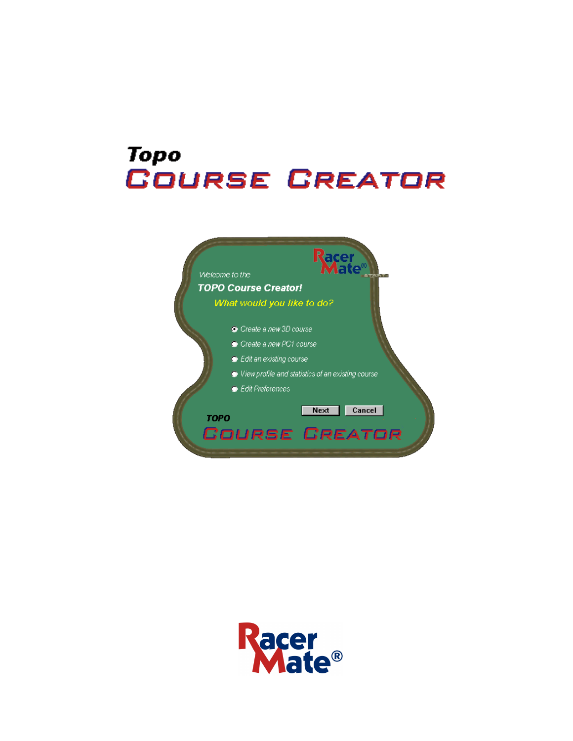# **Topo COURSE CREATOR**



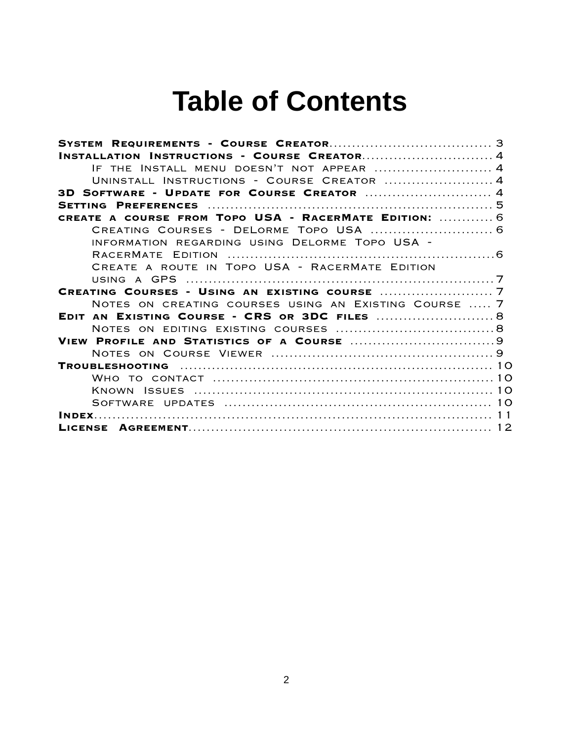# **Table of Contents**

| INSTALLATION INSTRUCTIONS - COURSE CREATOR 4          |  |
|-------------------------------------------------------|--|
|                                                       |  |
| UNINSTALL INSTRUCTIONS - COURSE CREATOR  4            |  |
| 3D SOFTWARE - UPDATE FOR COURSE CREATOR  4            |  |
|                                                       |  |
| CREATE A COURSE FROM TOPO USA - RACERMATE EDITION:  6 |  |
|                                                       |  |
| INFORMATION REGARDING USING DELORME TOPO USA -        |  |
|                                                       |  |
| CREATE A ROUTE IN TOPO USA - RACERMATE EDITION        |  |
|                                                       |  |
|                                                       |  |
| NOTES ON CREATING COURSES USING AN EXISTING COURSE  7 |  |
|                                                       |  |
|                                                       |  |
|                                                       |  |
|                                                       |  |
|                                                       |  |
|                                                       |  |
|                                                       |  |
|                                                       |  |
|                                                       |  |
|                                                       |  |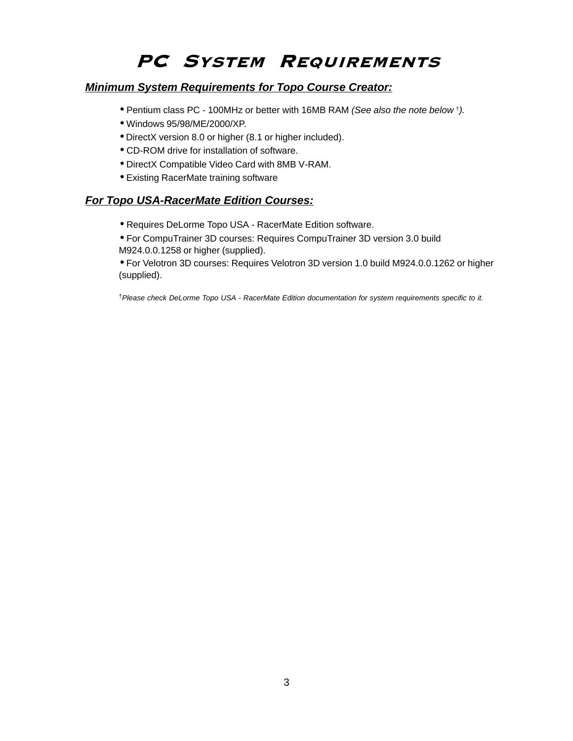# PC SYSTEM REQUIREMENTS

### **Minimum System Requirements for Topo Course Creator:**

- Pentium class PC 100MHz or better with 16MB RAM (See also the note below †).
- Windows 95/98/ME/2000/XP.
- DirectX version 8.0 or higher (8.1 or higher included).
- CD-ROM drive for installation of software.
- DirectX Compatible Video Card with 8MB V-RAM.
- Existing RacerMate training software

### **For Topo USA-RacerMate Edition Courses:**

- Requires DeLorme Topo USA RacerMate Edition software.
- For CompuTrainer 3D courses: Requires CompuTrainer 3D version 3.0 build M924.0.0.1258 or higher (supplied).

• For Velotron 3D courses: Requires Velotron 3D version 1.0 build M924.0.0.1262 or higher (supplied).

†Please check DeLorme Topo USA - RacerMate Edition documentation for system requirements specific to it.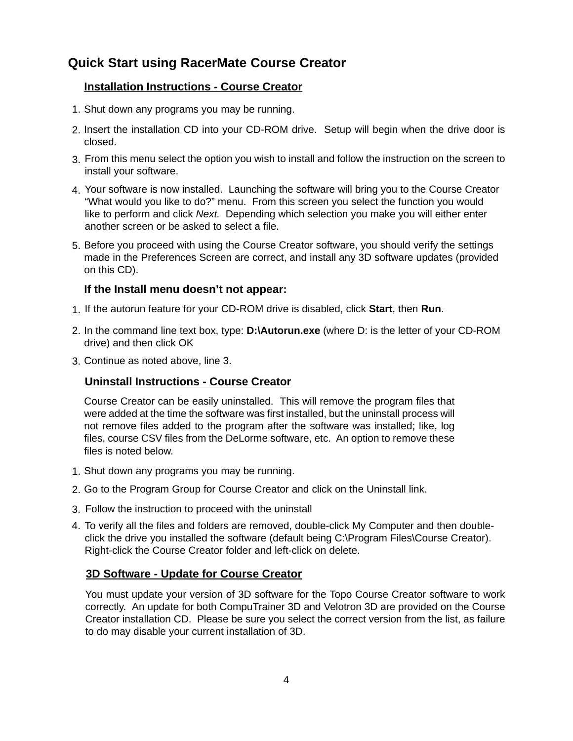# **Quick Start using RacerMate Course Creator**

### **Installation Instructions - Course Creator**

- Shut down any programs you may be running. 1.
- 2. Insert the installation CD into your CD-ROM drive. Setup will begin when the drive door is closed.
- From this menu select the option you wish to install and follow the instruction on the screen to 3. install your software.
- 4. Your software is now installed. Launching the software will bring you to the Course Creator "What would you like to do?" menu. From this screen you select the function you would like to perform and click Next. Depending which selection you make you will either enter another screen or be asked to select a file.
- 5. Before you proceed with using the Course Creator software, you should verify the settings made in the Preferences Screen are correct, and install any 3D software updates (provided on this CD).

### **If the Install menu doesn't not appear:**

- If the autorun feature for your CD-ROM drive is disabled, click **Start**, then **Run**. 1.
- 2. In the command line text box, type: D:**\Autorun.exe** (where D: is the letter of your CD-ROM drive) and then click OK
- Continue as noted above, line 3. 3.

### **Uninstall Instructions - Course Creator**

Course Creator can be easily uninstalled. This will remove the program files that were added at the time the software was first installed, but the uninstall process will not remove files added to the program after the software was installed; like, log files, course CSV files from the DeLorme software, etc. An option to remove these files is noted below.

- Shut down any programs you may be running. 1.
- 2. Go to the Program Group for Course Creator and click on the Uninstall link.
- Follow the instruction to proceed with the uninstall 3.
- To verify all the files and folders are removed, double-click My Computer and then double-4. click the drive you installed the software (default being C:\Program Files\Course Creator). Right-click the Course Creator folder and left-click on delete.

### **3D Software - Update for Course Creator**

You must update your version of 3D software for the Topo Course Creator software to work correctly. An update for both CompuTrainer 3D and Velotron 3D are provided on the Course Creator installation CD. Please be sure you select the correct version from the list, as failure to do may disable your current installation of 3D.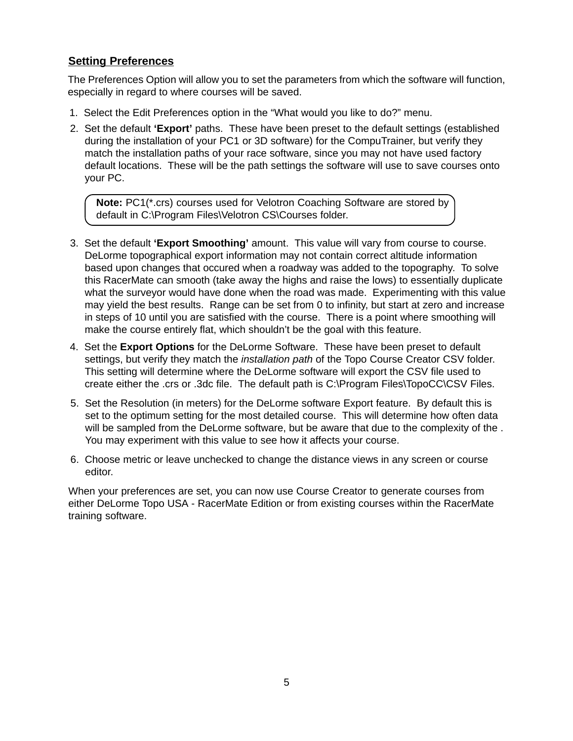### **Setting Preferences**

The Preferences Option will allow you to set the parameters from which the software will function, especially in regard to where courses will be saved.

- 1. Select the Edit Preferences option in the "What would you like to do?" menu.
- 2. Set the default **'Export'** paths. These have been preset to the default settings (established during the installation of your PC1 or 3D software) for the CompuTrainer, but verify they match the installation paths of your race software, since you may not have used factory default locations. These will be the path settings the software will use to save courses onto your PC.

**Note:** PC1(\*.crs) courses used for Velotron Coaching Software are stored by default in C:\Program Files\Velotron CS\Courses folder.

- 3. Set the default **'Export Smoothing'** amount. This value will vary from course to course. DeLorme topographical export information may not contain correct altitude information based upon changes that occured when a roadway was added to the topography. To solve this RacerMate can smooth (take away the highs and raise the lows) to essentially duplicate what the surveyor would have done when the road was made. Experimenting with this value may yield the best results. Range can be set from 0 to infinity, but start at zero and increase in steps of 10 until you are satisfied with the course. There is a point where smoothing will make the course entirely flat, which shouldn't be the goal with this feature.
- 4. Set the **Export Options** for the DeLorme Software. These have been preset to default settings, but verify they match the *installation path* of the Topo Course Creator CSV folder. This setting will determine where the DeLorme software will export the CSV file used to create either the .crs or .3dc file. The default path is C:\Program Files\TopoCC\CSV Files.
- 5. Set the Resolution (in meters) for the DeLorme software Export feature. By default this is set to the optimum setting for the most detailed course. This will determine how often data will be sampled from the DeLorme software, but be aware that due to the complexity of the. You may experiment with this value to see how it affects your course.
- 6. Choose metric or leave unchecked to change the distance views in any screen or course editor.

When your preferences are set, you can now use Course Creator to generate courses from either DeLorme Topo USA - RacerMate Edition or from existing courses within the RacerMate training software.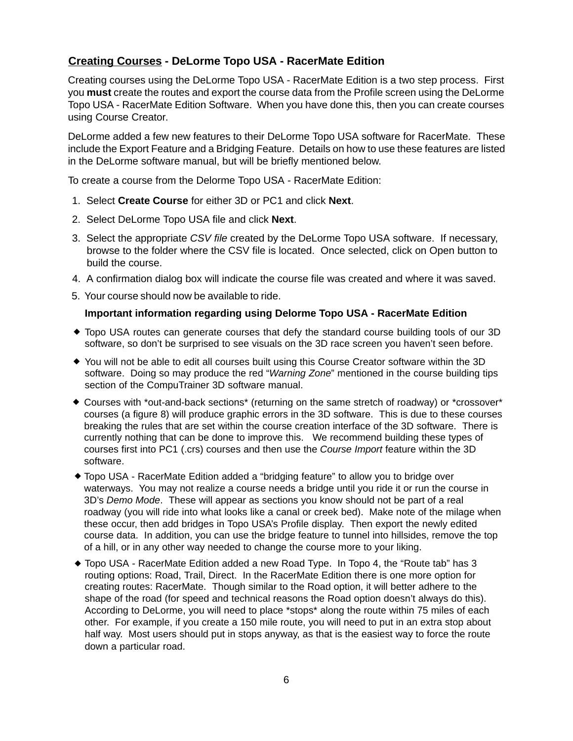### **Creating Courses - DeLorme Topo USA - RacerMate Edition**

Creating courses using the DeLorme Topo USA - RacerMate Edition is a two step process. First you **must** create the routes and export the course data from the Profile screen using the DeLorme Topo USA - RacerMate Edition Software. When you have done this, then you can create courses using Course Creator.

DeLorme added a few new features to their DeLorme Topo USA software for RacerMate. These include the Export Feature and a Bridging Feature. Details on how to use these features are listed in the DeLorme software manual, but will be briefly mentioned below.

To create a course from the Delorme Topo USA - RacerMate Edition:

- 1. Select **Create Course** for either 3D or PC1 and click **Next**.
- 2. Select DeLorme Topo USA file and click **Next**.
- 3. Select the appropriate CSV file created by the DeLorme Topo USA software. If necessary, browse to the folder where the CSV file is located. Once selected, click on Open button to build the course.
- 4. A confirmation dialog box will indicate the course file was created and where it was saved.
- 5. Your course should now be available to ride.

### **Important information regarding using Delorme Topo USA - RacerMate Edition**

- Topo USA routes can generate courses that defy the standard course building tools of our 3D software, so don't be surprised to see visuals on the 3D race screen you haven't seen before.
- You will not be able to edit all courses built using this Course Creator software within the 3D software. Doing so may produce the red "Warning Zone" mentioned in the course building tips section of the CompuTrainer 3D software manual.
- Courses with \*out-and-back sections\* (returning on the same stretch of roadway) or \*crossover\* courses (a figure 8) will produce graphic errors in the 3D software. This is due to these courses breaking the rules that are set within the course creation interface of the 3D software. There is currently nothing that can be done to improve this. We recommend building these types of courses first into PC1 (.crs) courses and then use the Course Import feature within the 3D software.
- Topo USA RacerMate Edition added a "bridging feature" to allow you to bridge over waterways. You may not realize a course needs a bridge until you ride it or run the course in 3D's Demo Mode. These will appear as sections you know should not be part of a real roadway (you will ride into what looks like a canal or creek bed). Make note of the milage when these occur, then add bridges in Topo USA's Profile display. Then export the newly edited course data. In addition, you can use the bridge feature to tunnel into hillsides, remove the top of a hill, or in any other way needed to change the course more to your liking.
- ◆ Topo USA RacerMate Edition added a new Road Type. In Topo 4, the "Route tab" has 3 routing options: Road, Trail, Direct. In the RacerMate Edition there is one more option for creating routes: RacerMate. Though similar to the Road option, it will better adhere to the shape of the road (for speed and technical reasons the Road option doesn't always do this). According to DeLorme, you will need to place \*stops\* along the route within 75 miles of each other. For example, if you create a 150 mile route, you will need to put in an extra stop about half way. Most users should put in stops anyway, as that is the easiest way to force the route down a particular road.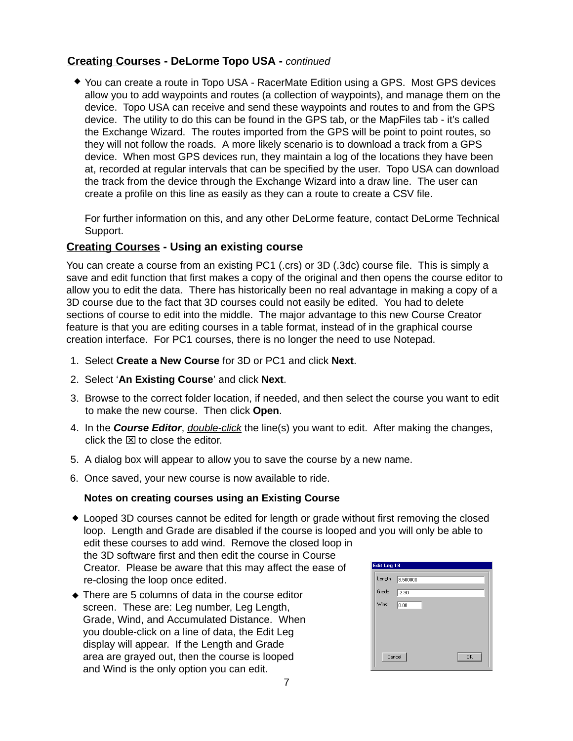### **Creating Courses - DeLorme Topo USA -** continued

◆ You can create a route in Topo USA - RacerMate Edition using a GPS. Most GPS devices allow you to add waypoints and routes (a collection of waypoints), and manage them on the device. Topo USA can receive and send these waypoints and routes to and from the GPS device. The utility to do this can be found in the GPS tab, or the MapFiles tab - it's called the Exchange Wizard. The routes imported from the GPS will be point to point routes, so they will not follow the roads. A more likely scenario is to download a track from a GPS device. When most GPS devices run, they maintain a log of the locations they have been at, recorded at regular intervals that can be specified by the user. Topo USA can download the track from the device through the Exchange Wizard into a draw line. The user can create a profile on this line as easily as they can a route to create a CSV file.

For further information on this, and any other DeLorme feature, contact DeLorme Technical Support.

### **Creating Courses - Using an existing course**

You can create a course from an existing PC1 (.crs) or 3D (.3dc) course file. This is simply a save and edit function that first makes a copy of the original and then opens the course editor to allow you to edit the data. There has historically been no real advantage in making a copy of a 3D course due to the fact that 3D courses could not easily be edited. You had to delete sections of course to edit into the middle. The major advantage to this new Course Creator feature is that you are editing courses in a table format, instead of in the graphical course creation interface. For PC1 courses, there is no longer the need to use Notepad.

- 1. Select **Create a New Course** for 3D or PC1 and click **Next**.
- 2. Select '**An Existing Course**' and click **Next**.
- 3. Browse to the correct folder location, if needed, and then select the course you want to edit to make the new course. Then click **Open**.
- 4. In the **Course Editor**, double-click the line(s) you want to edit. After making the changes, click the  $\boxtimes$  to close the editor.
- 5. A dialog box will appear to allow you to save the course by a new name.
- 6. Once saved, your new course is now available to ride.

### **Notes on creating courses using an Existing Course**

- Looped 3D courses cannot be edited for length or grade without first removing the closed loop. Length and Grade are disabled if the course is looped and you will only be able to edit these courses to add wind. Remove the closed loop in the 3D software first and then edit the course in Course Creator. Please be aware that this may affect the ease of re-closing the loop once edited.
- There are 5 columns of data in the course editor screen. These are: Leg number, Leg Length, Grade, Wind, and Accumulated Distance. When you double-click on a line of data, the Edit Leg display will appear. If the Length and Grade area are grayed out, then the course is looped and Wind is the only option you can edit.

| Edit Leg 18 |                |
|-------------|----------------|
| Length      | 8.500000       |
| Grade       | $\sqrt{-2.30}$ |
| Wind        | 0.00           |
|             |                |
|             |                |
|             |                |
| Cancel      | <b>OK</b>      |
|             |                |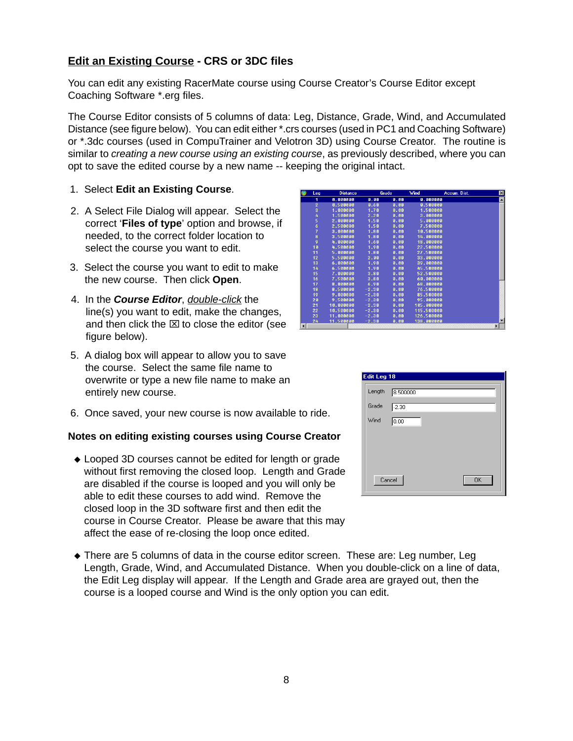### **Edit an Existing Course - CRS or 3DC files**

You can edit any existing RacerMate course using Course Creator's Course Editor except Coaching Software \*.erg files.

The Course Editor consists of 5 columns of data: Leg, Distance, Grade, Wind, and Accumulated Distance (see figure below). You can edit either \*.crs courses (used in PC1 and Coaching Software) or \*.3dc courses (used in CompuTrainer and Velotron 3D) using Course Creator. The routine is similar to creating a new course using an existing course, as previously described, where you can opt to save the edited course by a new name -- keeping the original intact.

- 1. Select **Edit an Existing Course**.
- 2. A Select File Dialog will appear. Select the correct '**Files of type**' option and browse, if needed, to the correct folder location to select the course you want to edit.
- 3. Select the course you want to edit to make the new course. Then click **Open**.
- 4. In the **Course Editor**, double-click the line(s) you want to edit, make the changes, and then click the  $\times$  to close the editor (see figure below).
- 5. A dialog box will appear to allow you to save the course. Select the same file name to overwrite or type a new file name to make an entirely new course.
- 6. Once saved, your new course is now available to ride.

#### **Notes on editing existing courses using Course Creator**

- Looped 3D courses cannot be edited for length or grade without first removing the closed loop. Length and Grade are disabled if the course is looped and you will only be able to edit these courses to add wind. Remove the closed loop in the 3D software first and then edit the course in Course Creator. Please be aware that this may affect the ease of re-closing the loop once edited.
- There are 5 columns of data in the course editor screen. These are: Leg number, Leg Length, Grade, Wind, and Accumulated Distance. When you double-click on a line of data, the Edit Leg display will appear. If the Length and Grade area are grayed out, then the course is a looped course and Wind is the only option you can edit.

| Edit Leg 18 |                     |
|-------------|---------------------|
| Length      | 8.500000            |
| Grade       | $-2.30$             |
| Wind        | 0.00                |
|             |                     |
|             |                     |
|             |                     |
|             | Cancel<br><b>OK</b> |

|                        | Leg            | <b>Distance</b> |         | Grade | Wind       | Accum. Dist. | $\mathbf{x}$          |
|------------------------|----------------|-----------------|---------|-------|------------|--------------|-----------------------|
|                        | 1              | 0.000000        | 0.00    | 0.00  | A. AAAAAA  |              | $\blacktriangle$      |
|                        | $\overline{2}$ | 0.500000        | 0.60    | 0.00  | 0.500000   |              |                       |
|                        | 3              | 1.000000        | 1.78    | 0.00  | 1.500000   |              |                       |
|                        | 4              | 1.500000        | 2.20    | 0.00  | 3.000000   |              |                       |
|                        | 5              | 2.000000        | 1.50    | 0.00  | 5.000000   |              |                       |
|                        | 6              | 2.500000        | 1.50    | 0.00  | 7.500000   |              |                       |
|                        | 7              | 3.000000        | 1.80    | 0.00  | 10.500000  |              |                       |
|                        | 8              | 3.500000        | 1.80    | 0.00  | 14.000000  |              |                       |
|                        | 9              | 4.000000        | 1.60    | 0.00  | 18.000000  |              |                       |
|                        | 10             | 4.500000        | 1.98    | 0.00  | 22.500000  |              |                       |
|                        | 11             | 5.000000        | 1.80    | 8.80  | 27.500000  |              |                       |
|                        | 12             | 5.500000        | 2.88    | 8.80  | 33.000000  |              |                       |
|                        | 13             | 6.000000        | 1.98    | 0.00  | 39.000000  |              |                       |
|                        | 14             | 6.500000        | 1.98    | 0.00  | 45.500000  |              |                       |
|                        | 15             | 7.000000        | 3.88    | 0.00  | 52.500000  |              |                       |
|                        | 16             | 7.500000        | 3.80    | 0.00  | 60.000000  |              |                       |
|                        | 17             | 8.000000        | 6.90    | 0.00  | 68.999999  |              |                       |
|                        | 18             | 8.500000        | $-2.38$ | 0.00  | 76.500000  |              |                       |
|                        | 19             | 9.000000        | $-2.38$ | 0.00  | 85.500000  |              |                       |
|                        | 20             | 9.500000        | $-2.38$ | 0.00  | 95.888888  |              |                       |
|                        | 21             | 10.000000       | $-2.30$ | 0.00  | 105.00000  |              |                       |
|                        | 22             | 10.500000       | $-2.30$ | 0.00  | 115.500000 |              |                       |
|                        | 23             | 11.000000       | $-2.30$ | 0.00  | 126.500000 |              |                       |
|                        | 24             | 11.500000       | $-2.30$ | 0.00  | 138.000000 |              |                       |
| $\left  \cdot \right $ |                |                 |         |       |            |              | $\blacktriangleright$ |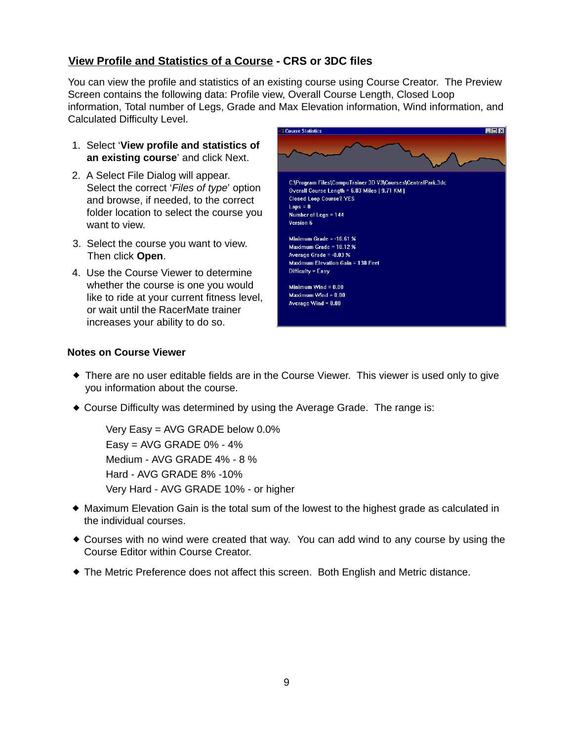### **View Profile and Statistics of a Course - CRS or 3DC files**

You can view the profile and statistics of an existing course using Course Creator. The Preview Screen contains the following data: Profile view, Overall Course Length, Closed Loop information, Total number of Legs, Grade and Max Elevation information, Wind information, and Calculated Difficulty Level.

- 1. Select '**View profile and statistics of an existing course**' and click Next.
- 2. A Select File Dialog will appear. Select the correct 'Files of type' option and browse, if needed, to the correct folder location to select the course you want to view.
- 3. Select the course you want to view. Then click **Open**.
- 4. Use the Course Viewer to determine whether the course is one you would like to ride at your current fitness level, or wait until the RacerMate trainer increases your ability to do so.



### **Notes on Course Viewer**

- There are no user editable fields are in the Course Viewer. This viewer is used only to give you information about the course.
- Course Difficulty was determined by using the Average Grade. The range is:

```
Very Easy = AVG GRADE below 0.0%
Easy = AVG GRADE 0\% - 4\%Medium - AVG GRADE 4% - 8 %
Hard - AVG GRADE 8% -10%
Very Hard - AVG GRADE 10% - or higher
```
- Maximum Elevation Gain is the total sum of the lowest to the highest grade as calculated in the individual courses.
- Courses with no wind were created that way. You can add wind to any course by using the Course Editor within Course Creator.
- The Metric Preference does not affect this screen. Both English and Metric distance.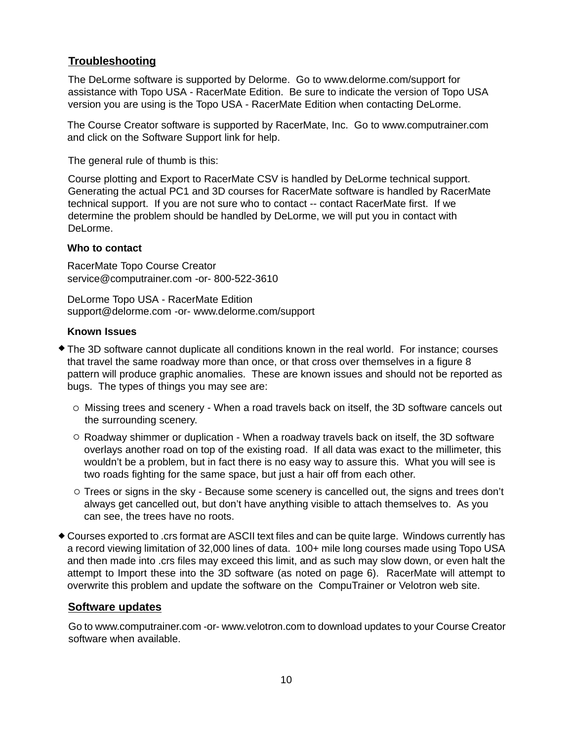### **Troubleshooting**

The DeLorme software is supported by Delorme. Go to www.delorme.com/support for assistance with Topo USA - RacerMate Edition. Be sure to indicate the version of Topo USA version you are using is the Topo USA - RacerMate Edition when contacting DeLorme.

The Course Creator software is supported by RacerMate, Inc. Go to www.computrainer.com and click on the Software Support link for help.

The general rule of thumb is this:

Course plotting and Export to RacerMate CSV is handled by DeLorme technical support. Generating the actual PC1 and 3D courses for RacerMate software is handled by RacerMate technical support. If you are not sure who to contact -- contact RacerMate first. If we determine the problem should be handled by DeLorme, we will put you in contact with DeLorme.

### **Who to contact**

service@computrainer.com -or- 800-522-3610 RacerMate Topo Course Creator

DeLorme Topo USA - RacerMate Edition support@delorme.com -or- www.delorme.com/support

### **Known Issues**

- The 3D software cannot duplicate all conditions known in the real world. For instance; courses that travel the same roadway more than once, or that cross over themselves in a figure 8 pattern will produce graphic anomalies. These are known issues and should not be reported as bugs. The types of things you may see are:
	- o Missing trees and scenery When a road travels back on itself, the 3D software cancels out the surrounding scenery.
	- Roadway shimmer or duplication When a roadway travels back on itself, the 3D software overlays another road on top of the existing road. If all data was exact to the millimeter, this wouldn't be a problem, but in fact there is no easy way to assure this. What you will see is two roads fighting for the same space, but just a hair off from each other.
	- $\circ$  Trees or signs in the sky Because some scenery is cancelled out, the signs and trees don't always get cancelled out, but don't have anything visible to attach themselves to. As you can see, the trees have no roots.
- Courses exported to .crs format are ASCII text files and can be quite large. Windows currently has a record viewing limitation of 32,000 lines of data. 100+ mile long courses made using Topo USA and then made into .crs files may exceed this limit, and as such may slow down, or even halt the attempt to Import these into the 3D software (as noted on page 6). RacerMate will attempt to overwrite this problem and update the software on the CompuTrainer or Velotron web site.

### **Software updates**

Go to www.computrainer.com -or- www.velotron.com to download updates to your Course Creator software when available.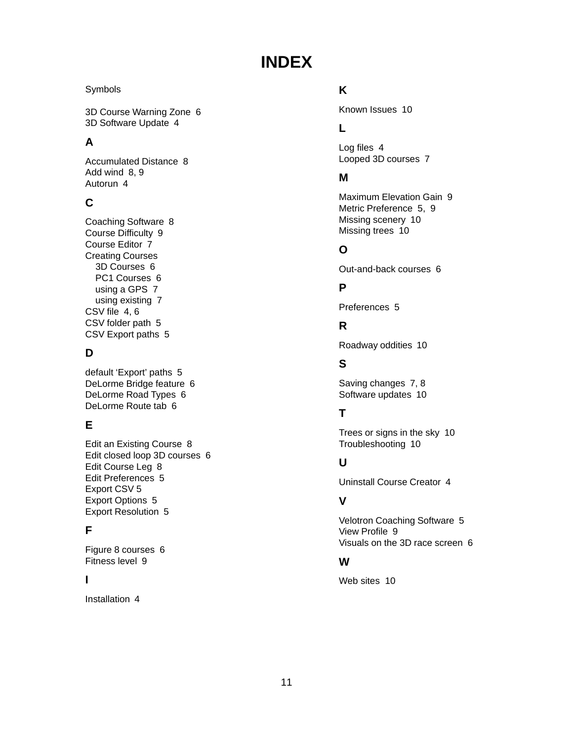# **INDEX**

### Symbols

3D Course Warning Zone 6 3D Software Update 4

## **A**

Accumulated Distance 8 Add wind 8, 9 Autorun 4

# **C**

Coaching Software 8 Course Difficulty 9 Course Editor 7 Creating Courses 3D Courses 6 PC1 Courses 6 using a GPS 7 using existing 7 CSV file 4, 6 CSV folder path 5 CSV Export paths 5

# **D**

default 'Export' paths 5 DeLorme Bridge feature 6 DeLorme Road Types 6 DeLorme Route tab 6

# **E**

Edit an Existing Course 8 Edit closed loop 3D courses 6 Edit Course Leg 8 Edit Preferences 5 Export CSV 5 Export Options 5 Export Resolution 5

## **F**

Figure 8 courses 6 Fitness level 9

### **I**

Installation 4

# **K**

Known Issues 10

# **L**

Log files 4 Looped 3D courses 7

# **M**

Maximum Elevation Gain 9 Metric Preference 5, 9 Missing scenery 10 Missing trees 10

# **O**

Out-and-back courses 6

# **P**

Preferences 5

# **R**

Roadway oddities 10

# **S**

Saving changes 7, 8 Software updates 10

# **T**

Trees or signs in the sky 10 Troubleshooting 10

# **U**

Uninstall Course Creator 4

## **V**

Velotron Coaching Software 5 View Profile 9 Visuals on the 3D race screen 6

### **W**

Web sites 10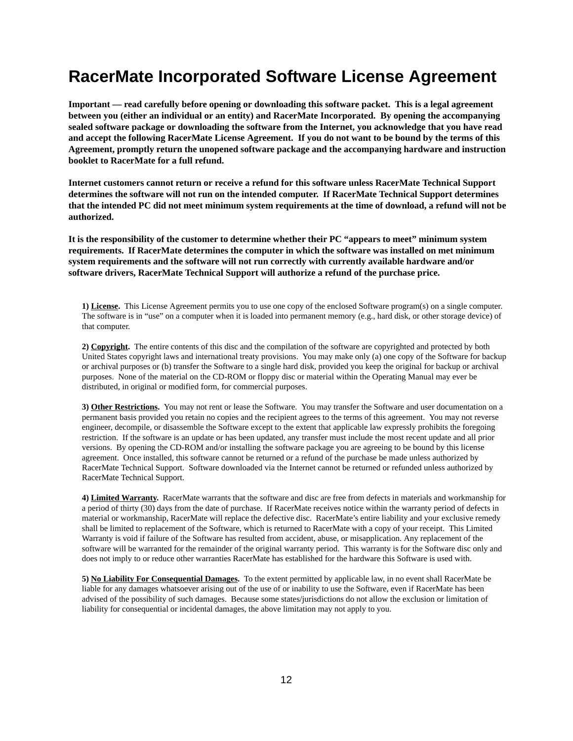# **RacerMate Incorporated Software License Agreement**

**Important — read carefully before opening or downloading this software packet. This is a legal agreement between you (either an individual or an entity) and RacerMate Incorporated. By opening the accompanying sealed software package or downloading the software from the Internet, you acknowledge that you have read and accept the following RacerMate License Agreement. If you do not want to be bound by the terms of this Agreement, promptly return the unopened software package and the accompanying hardware and instruction booklet to RacerMate for a full refund.**

**Internet customers cannot return or receive a refund for this software unless RacerMate Technical Support determines the software will not run on the intended computer. If RacerMate Technical Support determines that the intended PC did not meet minimum system requirements at the time of download, a refund will not be authorized.**

**It is the responsibility of the customer to determine whether their PC "appears to meet" minimum system requirements. If RacerMate determines the computer in which the software was installed on met minimum system requirements and the software will not run correctly with currently available hardware and/or software drivers, RacerMate Technical Support will authorize a refund of the purchase price.**

**1) License.** This License Agreement permits you to use one copy of the enclosed Software program(s) on a single computer. The software is in "use" on a computer when it is loaded into permanent memory (e.g., hard disk, or other storage device) of that computer.

**2) Copyright.** The entire contents of this disc and the compilation of the software are copyrighted and protected by both United States copyright laws and international treaty provisions. You may make only (a) one copy of the Software for backup or archival purposes or (b) transfer the Software to a single hard disk, provided you keep the original for backup or archival purposes. None of the material on the CD-ROM or floppy disc or material within the Operating Manual may ever be distributed, in original or modified form, for commercial purposes.

**3) Other Restrictions.** You may not rent or lease the Software. You may transfer the Software and user documentation on a permanent basis provided you retain no copies and the recipient agrees to the terms of this agreement. You may not reverse engineer, decompile, or disassemble the Software except to the extent that applicable law expressly prohibits the foregoing restriction. If the software is an update or has been updated, any transfer must include the most recent update and all prior versions. By opening the CD-ROM and/or installing the software package you are agreeing to be bound by this license agreement. Once installed, this software cannot be returned or a refund of the purchase be made unless authorized by RacerMate Technical Support. Software downloaded via the Internet cannot be returned or refunded unless authorized by RacerMate Technical Support.

**4) Limited Warranty.** RacerMate warrants that the software and disc are free from defects in materials and workmanship for a period of thirty (30) days from the date of purchase. If RacerMate receives notice within the warranty period of defects in material or workmanship, RacerMate will replace the defective disc. RacerMate's entire liability and your exclusive remedy shall be limited to replacement of the Software, which is returned to RacerMate with a copy of your receipt. This Limited Warranty is void if failure of the Software has resulted from accident, abuse, or misapplication. Any replacement of the software will be warranted for the remainder of the original warranty period. This warranty is for the Software disc only and does not imply to or reduce other warranties RacerMate has established for the hardware this Software is used with.

**5) No Liability For Consequential Damages.** To the extent permitted by applicable law, in no event shall RacerMate be liable for any damages whatsoever arising out of the use of or inability to use the Software, even if RacerMate has been advised of the possibility of such damages. Because some states/jurisdictions do not allow the exclusion or limitation of liability for consequential or incidental damages, the above limitation may not apply to you.